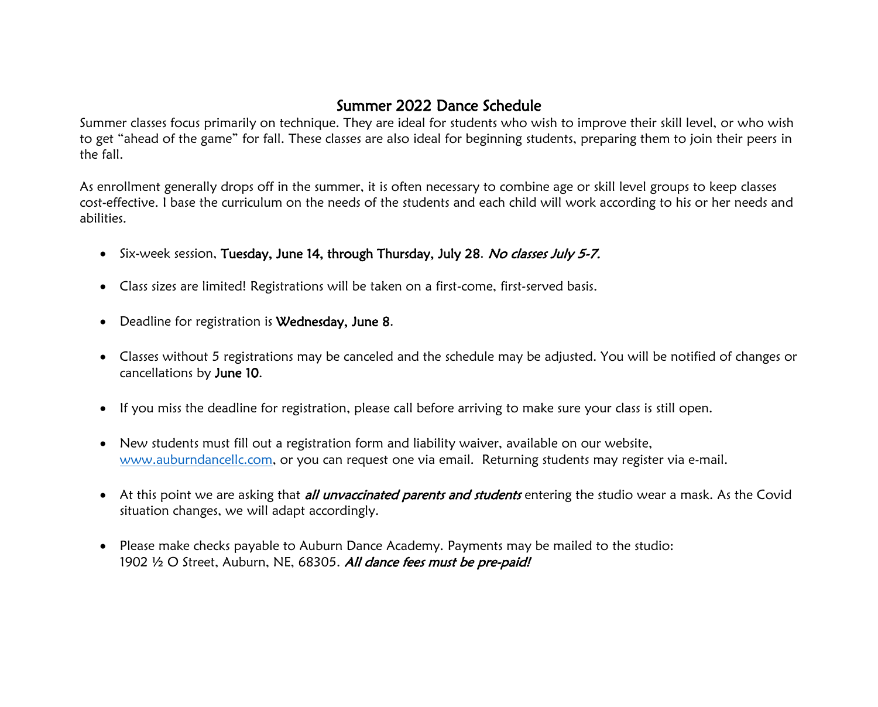## Summer 2022 Dance Schedule

Summer classes focus primarily on technique. They are ideal for students who wish to improve their skill level, or who wish to get "ahead of the game" for fall. These classes are also ideal for beginning students, preparing them to join their peers in the fall.

As enrollment generally drops off in the summer, it is often necessary to combine age or skill level groups to keep classes cost-effective. I base the curriculum on the needs of the students and each child will work according to his or her needs and abilities.

- Six-week session, Tuesday, June 14, through Thursday, July 28. No classes July 5-7.
- Class sizes are limited! Registrations will be taken on a first-come, first-served basis.
- Deadline for registration is Wednesday, June 8.
- Classes without 5 registrations may be canceled and the schedule may be adjusted. You will be notified of changes or cancellations by June 10.
- If you miss the deadline for registration, please call before arriving to make sure your class is still open.
- New students must fill out a registration form and liability waiver, available on our website, [www.auburndancellc.com,](http://www.auburndancellc.com/) or you can request one via email. Returning students may register via e-mail.
- At this point we are asking that *all unvaccinated parents and students* entering the studio wear a mask. As the Covid situation changes, we will adapt accordingly.
- Please make checks payable to Auburn Dance Academy. Payments may be mailed to the studio: 1902 1/2 O Street, Auburn, NE, 68305. All dance fees must be pre-paid!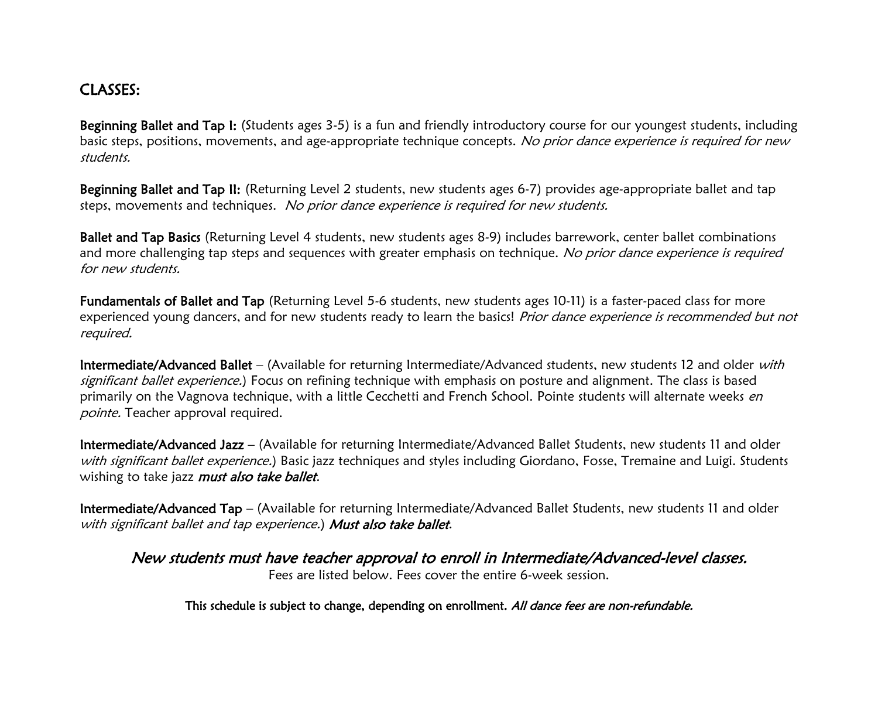## CLASSES:

Beginning Ballet and Tap I: (Students ages 3-5) is a fun and friendly introductory course for our youngest students, including basic steps, positions, movements, and age-appropriate technique concepts. No prior dance experience is required for new students.

Beginning Ballet and Tap II: (Returning Level 2 students, new students ages 6-7) provides age-appropriate ballet and tap steps, movements and techniques. No prior dance experience is required for new students.

Ballet and Tap Basics (Returning Level 4 students, new students ages 8-9) includes barrework, center ballet combinations and more challenging tap steps and sequences with greater emphasis on technique. No prior dance experience is required for new students.

Fundamentals of Ballet and Tap (Returning Level 5-6 students, new students ages 10-11) is a faster-paced class for more experienced young dancers, and for new students ready to learn the basics! Prior dance experience is recommended but not required.

Intermediate/Advanced Ballet – (Available for returning Intermediate/Advanced students, new students 12 and older with significant ballet experience.) Focus on refining technique with emphasis on posture and alignment. The class is based primarily on the Vagnova technique, with a little Cecchetti and French School. Pointe students will alternate weeks en pointe. Teacher approval required.

Intermediate/Advanced Jazz – (Available for returning Intermediate/Advanced Ballet Students, new students 11 and older with significant ballet experience.) Basic jazz techniques and styles including Giordano, Fosse, Tremaine and Luigi. Students wishing to take jazz must also take ballet.

Intermediate/Advanced Tap – (Available for returning Intermediate/Advanced Ballet Students, new students 11 and older with significant ballet and tap experience.) Must also take ballet.

New students must have teacher approval to enroll in Intermediate/Advanced-level classes. Fees are listed below. Fees cover the entire 6-week session.

This schedule is subject to change, depending on enrollment. All dance fees are non-refundable.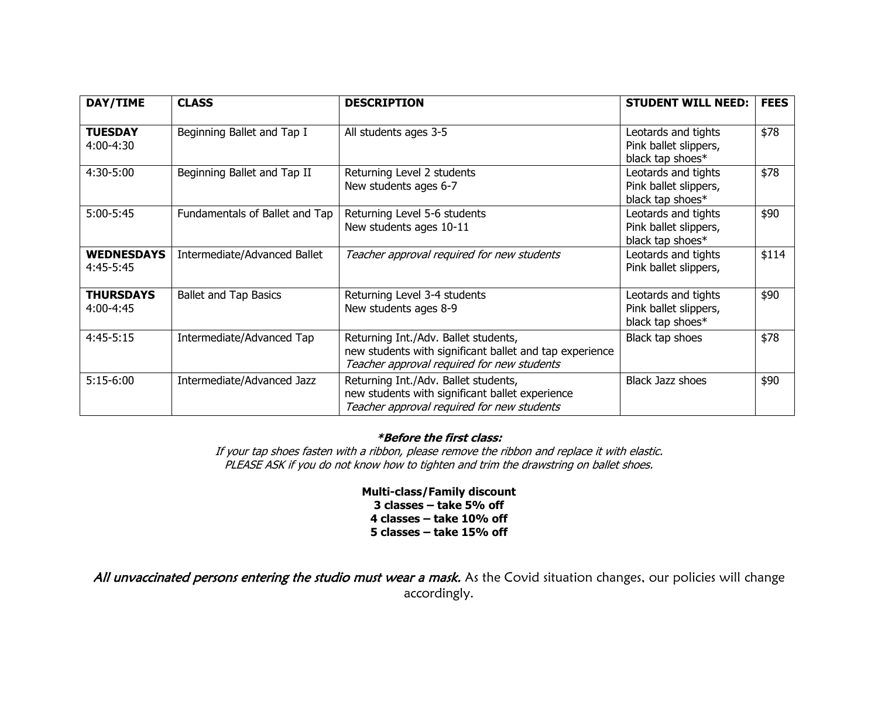| DAY/TIME                       | <b>CLASS</b>                   | <b>DESCRIPTION</b>                                                                                                                            | <b>STUDENT WILL NEED:</b>                                        | <b>FEES</b> |
|--------------------------------|--------------------------------|-----------------------------------------------------------------------------------------------------------------------------------------------|------------------------------------------------------------------|-------------|
| <b>TUESDAY</b><br>4:00-4:30    | Beginning Ballet and Tap I     | All students ages 3-5                                                                                                                         | Leotards and tights<br>Pink ballet slippers,<br>black tap shoes* | \$78        |
| 4:30-5:00                      | Beginning Ballet and Tap II    | Returning Level 2 students<br>New students ages 6-7                                                                                           | Leotards and tights<br>Pink ballet slippers,<br>black tap shoes* | \$78        |
| $5:00-5:45$                    | Fundamentals of Ballet and Tap | Returning Level 5-6 students<br>New students ages 10-11                                                                                       | Leotards and tights<br>Pink ballet slippers,<br>black tap shoes* | \$90        |
| <b>WEDNESDAYS</b><br>4:45-5:45 | Intermediate/Advanced Ballet   | Teacher approval required for new students                                                                                                    | Leotards and tights<br>Pink ballet slippers,                     | \$114       |
| <b>THURSDAYS</b><br>4:00-4:45  | <b>Ballet and Tap Basics</b>   | Returning Level 3-4 students<br>New students ages 8-9                                                                                         | Leotards and tights<br>Pink ballet slippers,<br>black tap shoes* | \$90        |
| $4:45-5:15$                    | Intermediate/Advanced Tap      | Returning Int./Adv. Ballet students,<br>new students with significant ballet and tap experience<br>Teacher approval required for new students | Black tap shoes                                                  | \$78        |
| $5:15-6:00$                    | Intermediate/Advanced Jazz     | Returning Int./Adv. Ballet students,<br>new students with significant ballet experience<br>Teacher approval required for new students         | <b>Black Jazz shoes</b>                                          | \$90        |

## **\*Before the first class:**

If your tap shoes fasten with a ribbon, please remove the ribbon and replace it with elastic. PLEASE ASK if you do not know how to tighten and trim the drawstring on ballet shoes.

> **Multi-class/Family discount 3 classes – take 5% off 4 classes – take 10% off 5 classes – take 15% off**

All unvaccinated persons entering the studio must wear a mask. As the Covid situation changes, our policies will change accordingly.